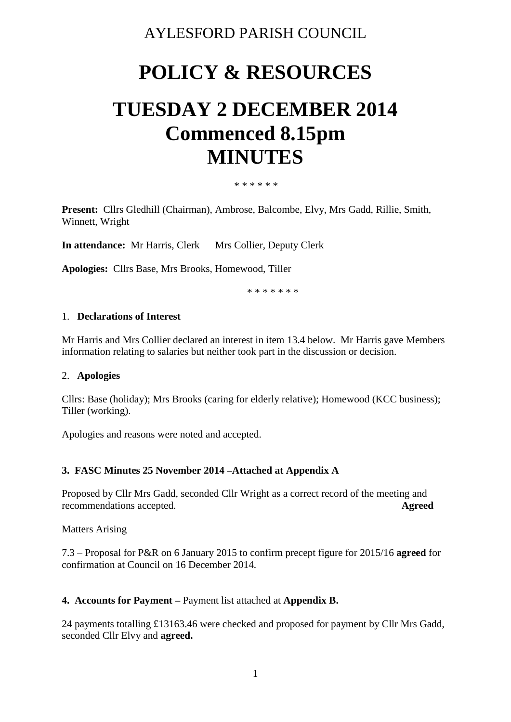# AYLESFORD PARISH COUNCIL

# **POLICY & RESOURCES**

# **TUESDAY 2 DECEMBER 2014 Commenced 8.15pm MINUTES**

\* \* \* \* \* \*

**Present:** Cllrs Gledhill (Chairman), Ambrose, Balcombe, Elvy, Mrs Gadd, Rillie, Smith, Winnett, Wright

**In attendance:** Mr Harris, Clerk Mrs Collier, Deputy Clerk

**Apologies:** Cllrs Base, Mrs Brooks, Homewood, Tiller

\* \* \* \* \* \* \*

#### 1. **Declarations of Interest**

Mr Harris and Mrs Collier declared an interest in item 13.4 below. Mr Harris gave Members information relating to salaries but neither took part in the discussion or decision.

#### 2. **Apologies**

Cllrs: Base (holiday); Mrs Brooks (caring for elderly relative); Homewood (KCC business); Tiller (working).

Apologies and reasons were noted and accepted.

#### **3. FASC Minutes 25 November 2014 –Attached at Appendix A**

Proposed by Cllr Mrs Gadd, seconded Cllr Wright as a correct record of the meeting and recommendations accepted. **Agreed**

Matters Arising

7.3 – Proposal for P&R on 6 January 2015 to confirm precept figure for 2015/16 **agreed** for confirmation at Council on 16 December 2014.

#### **4. Accounts for Payment –** Payment list attached at **Appendix B.**

24 payments totalling £13163.46 were checked and proposed for payment by Cllr Mrs Gadd, seconded Cllr Elvy and **agreed.**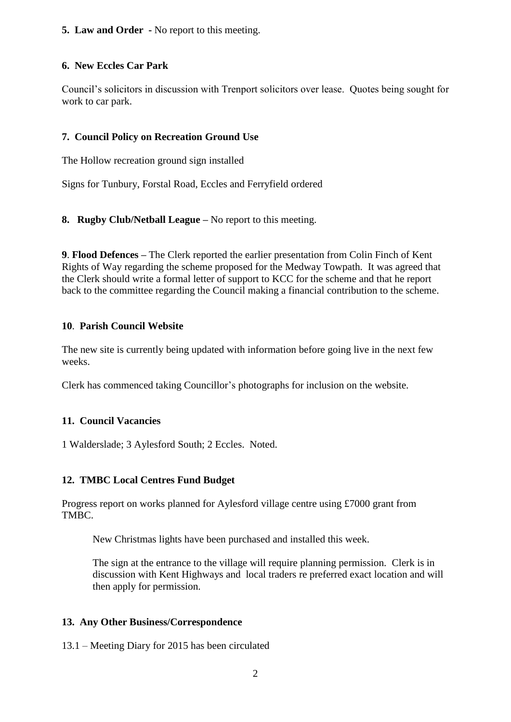#### **5. Law and Order -** No report to this meeting.

# **6. New Eccles Car Park**

Council's solicitors in discussion with Trenport solicitors over lease. Quotes being sought for work to car park.

### **7. Council Policy on Recreation Ground Use**

The Hollow recreation ground sign installed

Signs for Tunbury, Forstal Road, Eccles and Ferryfield ordered

**8. Rugby Club/Netball League –** No report to this meeting.

**9**. **Flood Defences –** The Clerk reported the earlier presentation from Colin Finch of Kent Rights of Way regarding the scheme proposed for the Medway Towpath. It was agreed that the Clerk should write a formal letter of support to KCC for the scheme and that he report back to the committee regarding the Council making a financial contribution to the scheme.

### **10**. **Parish Council Website**

The new site is currently being updated with information before going live in the next few weeks.

Clerk has commenced taking Councillor's photographs for inclusion on the website.

# **11. Council Vacancies**

1 Walderslade; 3 Aylesford South; 2 Eccles. Noted.

#### **12. TMBC Local Centres Fund Budget**

Progress report on works planned for Aylesford village centre using £7000 grant from TMBC.

New Christmas lights have been purchased and installed this week.

The sign at the entrance to the village will require planning permission. Clerk is in discussion with Kent Highways and local traders re preferred exact location and will then apply for permission.

#### **13. Any Other Business/Correspondence**

13.1 – Meeting Diary for 2015 has been circulated